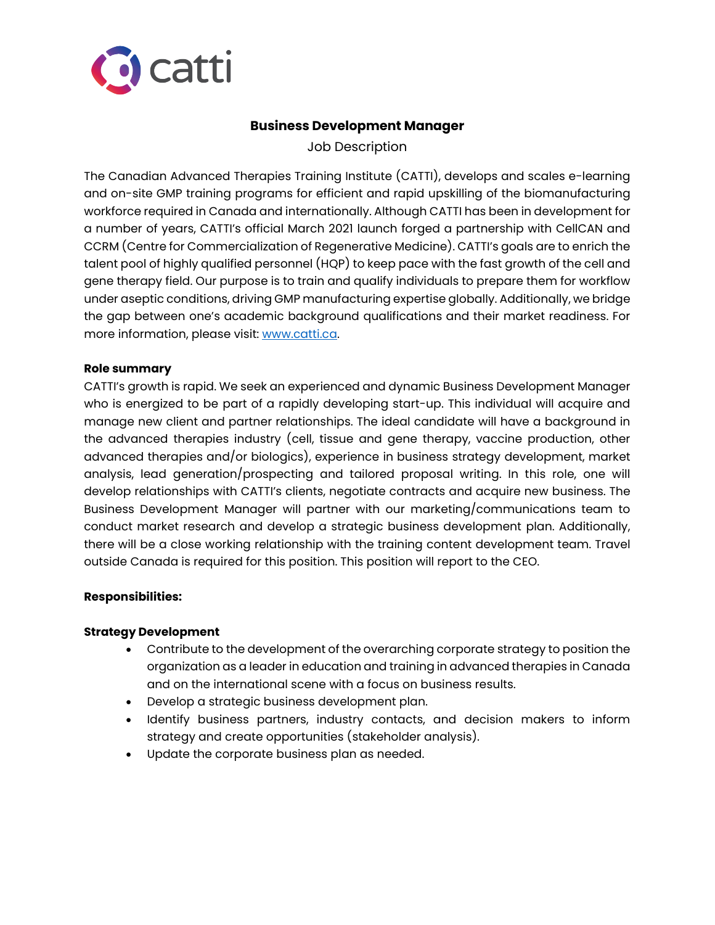

# **Business Development Manager**

Job Description

The Canadian Advanced Therapies Training Institute (CATTI), develops and scales e-learning and on-site GMP training programs for efficient and rapid upskilling of the biomanufacturing workforce required in Canada and internationally. Although CATTI has been in development for a number of years, CATTI's official March 2021 launch forged a partnership with CellCAN and CCRM (Centre for Commercialization of Regenerative Medicine). CATTI's goals are to enrich the talent pool of highly qualified personnel (HQP) to keep pace with the fast growth of the cell and gene therapy field. Our purpose is to train and qualify individuals to prepare them for workflow under aseptic conditions, driving GMP manufacturing expertise globally. Additionally, we bridge the gap between one's academic background qualifications and their market readiness. For more information, please visit: [www.catti.ca.](http://www.catti.ca/)

#### **Role summary**

CATTI's growth is rapid. We seek an experienced and dynamic Business Development Manager who is energized to be part of a rapidly developing start-up. This individual will acquire and manage new client and partner relationships. The ideal candidate will have a background in the advanced therapies industry (cell, tissue and gene therapy, vaccine production, other advanced therapies and/or biologics), experience in business strategy development, market analysis, lead generation/prospecting and tailored proposal writing. In this role, one will develop relationships with CATTI's clients, negotiate contracts and acquire new business. The Business Development Manager will partner with our marketing/communications team to conduct market research and develop a strategic business development plan. Additionally, there will be a close working relationship with the training content development team. Travel outside Canada is required for this position. This position will report to the CEO.

## **Responsibilities:**

#### **Strategy Development**

- Contribute to the development of the overarching corporate strategy to position the organization as a leader in education and training in advanced therapies in Canada and on the international scene with a focus on business results.
- Develop a strategic business development plan.
- Identify business partners, industry contacts, and decision makers to inform strategy and create opportunities (stakeholder analysis).
- Update the corporate business plan as needed.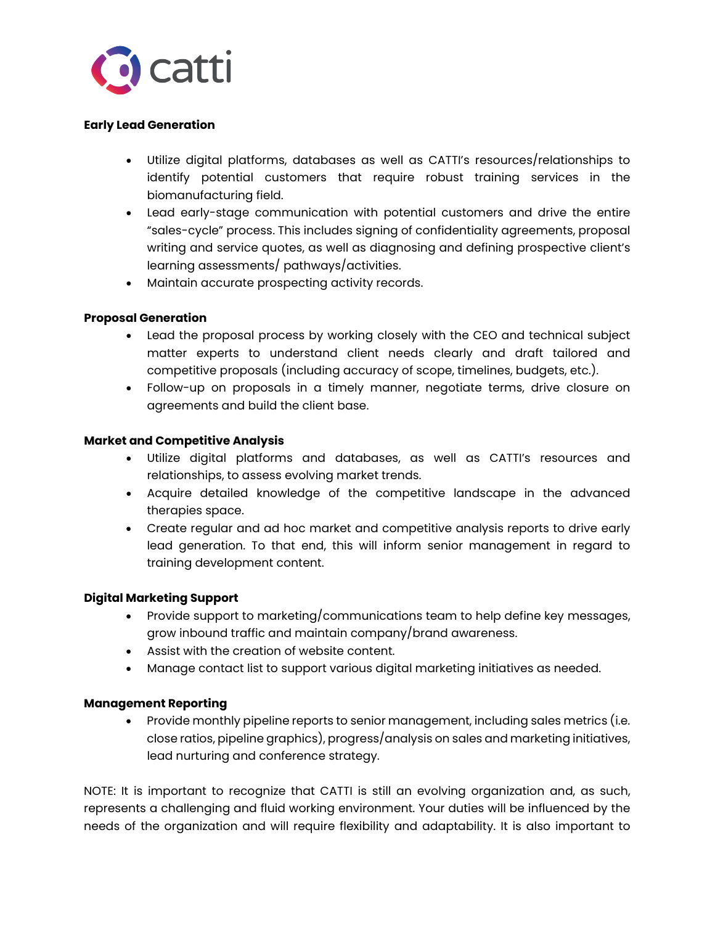

#### **Early Lead Generation**

- Utilize digital platforms, databases as well as CATTI's resources/relationships to identify potential customers that require robust training services in the biomanufacturing field.
- Lead early-stage communication with potential customers and drive the entire "sales-cycle" process. This includes signing of confidentiality agreements, proposal writing and service quotes, as well as diagnosing and defining prospective client's learning assessments/ pathways/activities.
- Maintain accurate prospecting activity records.

## **Proposal Generation**

- Lead the proposal process by working closely with the CEO and technical subject matter experts to understand client needs clearly and draft tailored and competitive proposals (including accuracy of scope, timelines, budgets, etc.).
- Follow-up on proposals in a timely manner, negotiate terms, drive closure on agreements and build the client base.

#### **Market and Competitive Analysis**

- Utilize digital platforms and databases, as well as CATTI's resources and relationships, to assess evolving market trends.
- Acquire detailed knowledge of the competitive landscape in the advanced therapies space.
- Create regular and ad hoc market and competitive analysis reports to drive early lead generation. To that end, this will inform senior management in regard to training development content.

#### **Digital Marketing Support**

- Provide support to marketing/communications team to help define key messages, grow inbound traffic and maintain company/brand awareness.
- Assist with the creation of website content.
- Manage contact list to support various digital marketing initiatives as needed.

#### **Management Reporting**

• Provide monthly pipeline reports to senior management, including sales metrics (i.e. close ratios, pipeline graphics), progress/analysis on sales and marketing initiatives, lead nurturing and conference strategy.

NOTE: It is important to recognize that CATTI is still an evolving organization and, as such, represents a challenging and fluid working environment. Your duties will be influenced by the needs of the organization and will require flexibility and adaptability. It is also important to